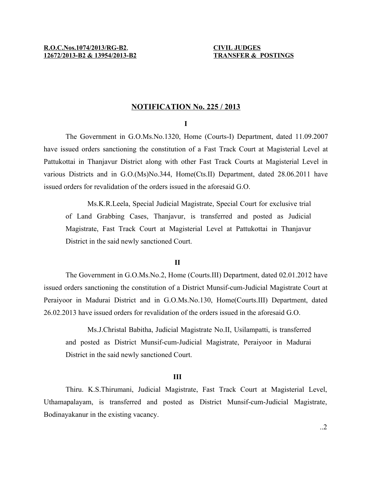## **NOTIFICATION No. 225 / 2013**

## **I**

The Government in G.O.Ms.No.1320, Home (Courts-I) Department, dated 11.09.2007 have issued orders sanctioning the constitution of a Fast Track Court at Magisterial Level at Pattukottai in Thanjavur District along with other Fast Track Courts at Magisterial Level in various Districts and in G.O.(Ms)No.344, Home(Cts.II) Department, dated 28.06.2011 have issued orders for revalidation of the orders issued in the aforesaid G.O.

Ms.K.R.Leela, Special Judicial Magistrate, Special Court for exclusive trial of Land Grabbing Cases, Thanjavur, is transferred and posted as Judicial Magistrate, Fast Track Court at Magisterial Level at Pattukottai in Thanjavur District in the said newly sanctioned Court.

### **II**

The Government in G.O.Ms.No.2, Home (Courts.III) Department, dated 02.01.2012 have issued orders sanctioning the constitution of a District Munsif-cum-Judicial Magistrate Court at Peraiyoor in Madurai District and in G.O.Ms.No.130, Home(Courts.III) Department, dated 26.02.2013 have issued orders for revalidation of the orders issued in the aforesaid G.O.

Ms.J.Christal Babitha, Judicial Magistrate No.II, Usilampatti, is transferred and posted as District Munsif-cum-Judicial Magistrate, Peraiyoor in Madurai District in the said newly sanctioned Court.

#### **III**

Thiru. K.S.Thirumani, Judicial Magistrate, Fast Track Court at Magisterial Level, Uthamapalayam, is transferred and posted as District Munsif-cum-Judicial Magistrate, Bodinayakanur in the existing vacancy.